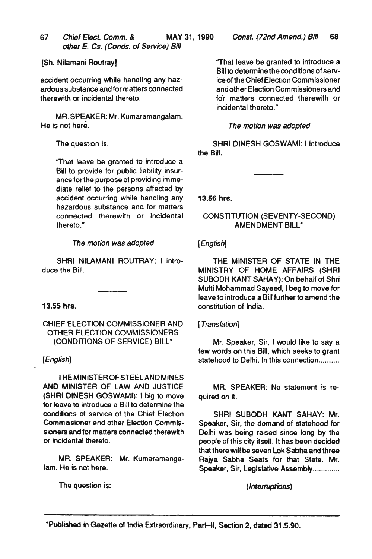- *67 Chief Elect. Comm.* & MAY 31, 1990 *other E. Cs. (Conds. of Service) Bill*
- [Sh. Nilamani Routray]

accident occurring while handling any hazardous substance and for matters connected therewith or incidental thereto.

MR. SPEAKER: Mr. Kumaramangalam. He is not here.

The question is:

l'That leave be granted to introduce a Bill to provide for public liability insurance forthe purpose of providing immediate relief to the persons affected by accident occurring while handling any hazardous substance and for matters connected therewith or incidental thereto."

## *The motion was adopted*

SHRI NILAMANI ROUTRAY: I introduce the Bill.

### $13.55$  hrs.

CHIEF ELECTION COMMISSIONER AND OTHER ELECTION COMMISSIONERS (CONDITIONS OF SERVICE) BILL"

# *[English]*

THEMINISTEROFSTEELANDMINES AND MINISTER OF LAW AND JUSTICE (SHRI DINESH GOSWAMI): I big to move for leave to introduce a Bill to determine the conditions of service of the Chief Election Commissioner and other Election Commissioners and for matters connected therewith or incidental thereto.

MR. SPEAKER: Mr. Kumafamangalam. He is not here.

The question is:

"That leave be granted to introduce a Bill to determ ine the conditions of service of the Chief Election Commissioner and other Election Commissioners and fo'r matters connected therewith or incidental thereto."

## *The motion was adopted*

SHRI DINESH GOSWAMI: I introduce the Bill.

13.56 hrs.

# CONSTITUTION (SEVENTY-SECOND) AMENDMENT BILL·

## *[English]*

THE MINISTER OF STATE IN THE MINISTRY OF HOME AFFAIRS (SHRI SUBODH KANT SAHAY): On behalf of Shri Mufti Mohammad Sayeed, I beg to move for leave to introduce a Bill further to amend the constitution of India.

### [ *Trans/ation]*

Mr. Speaker, Sir, I would like to say a few words on this Bill, which seeks to grant statehood to Delhi. In this connection..........

MR. SPEAKER: No statement is required on it.

SHAI SUBODH KANT SAHAY: Mr. Speaker, Sir, the demand of statehood for Delhi was being raised since long by the people of this city itself. It has been decided that there will be seven Lok Sabha and three Rajya Sabha Seats for that State. Mr. Speaker, Sir, Legislative Assembly.............

( *Interruptions)*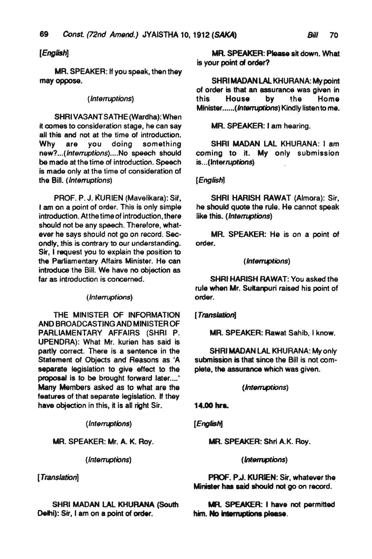# *[English]*

MR. SPEAKER: If you speak, then they may oppose.

### ( *Interruptions)*

SHRI VASANT SATHE (Wardha): When it comes to consideration stage, he can say all this and not at the time of introduction.<br>Why are vou doing something are you doing something *new? .. (lnt9"uptions) .... No* speech should be made at the time of introduction. Speech is made only at the time of consideration of the Bill. *(Interruptions)* 

PROF. P. J. KURIEN (Mavelikara): Sit, I am on a point of order. This is only simple introduction. Atthe time of introduction, there should not be any speech. Therefore, whatever he says should not go on record. Secondly, this is contrary to our understanding. Sir, I request *you* to explain the position to the Parliamentary Affairs Minister. He can introduce the Bill. We have no objection as far as introduction is concerned.

#### ( *Interruptions)*

THE MINISTER OF INFORMATION AND BROADCASTING AND MINISTER OF PARLIAMENTARY AFFAIRS (SHRI P. UPENDRA): What Mr. kurien has said is partly corred. There is a sentence in the Statement of Objects and Reasons as 'A separate legislation to give effect to the proposal is to be brought forward later....' Many Members asked as to what are the features of that separate legislation. H they have objection in this, it is all right Sir.

( *Int9rruptlons)* 

MR. SPEAKER: Mr. A. K. Roy.

( *Interruptions)* 

[ *Translation)* 

SHRI MADAN LAl KHURANA (South Delhi): Sir, I am on a point of order.

MR. SPEAKER: Please sit down. What is your point of order?

SHRI MADAN LAL KHURANA: My point of order is that an assurance was given in<br>this House by the Home House by the Home Minister...... (Interruptions) Kindly listen to me.

## MR. SPEAKER: I am hearing.

SHRI MADAN LAl KHURANA: I am coming to it. My only submission is ... (Inter *ruptions)* 

## *[English)*

SHRI HARISH RAWAT (Almora): Sir, he should quote the rule. He cannot speak like this. *(/ntenuptions)* 

MR. SPEAKER: He is on a point of order.

### ( *Intenuptions)*

SHRI HARISH RAWAT: You asked the rule when Mr. Sultanpuri raised his point of order.

### [ *Translation)*

MR. SPEAKER: Rawat Sahib, I know.

SHRI MADAN LAL KHURANA: My only submission is that since the Bill is not complete, the assurance which was given.

### *(/ntenuptions)*

### 14.GOhra.

*[English)* 

MR. SPEAKER: Shri A.K. Roy.

### e *Intenuptions)*

PROF. P.J. KURIEN: Sir. whatever the Minister has said should not go on racord.

MR. SPEAKER: I have not permitted him. No interruptions please.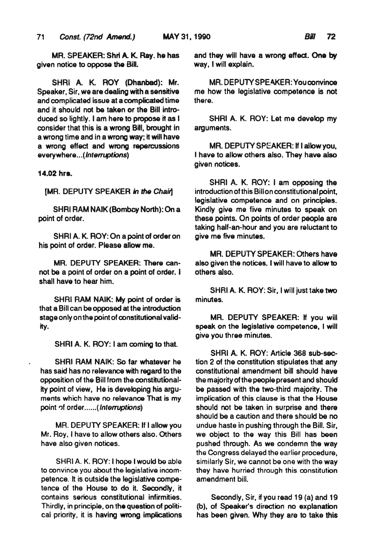MR. SPEAKER: Shri A. K. Ray. he has given notice to oppose the BiH.

SHRI A. K. ROY (Ohanbad): Mr. Speaker, Sir, we are dealing with a sensitive and complicated issue at a complicated time and it should not be taken or the Bill introduced so lightly. I am here to propose it as I consider that this is a wrong Bill. brought in a wrong time and in a wrong way; it wilt have a wrong effect and wrong repercussions everywhere ... ( *Interruptions)* 

#### 14.02 hrs.

[MR. DEPUTY SPEAKER *in* the *Chailj* 

SHRI RAM NAIK (Bombay North): On a point of order.

SHRI A. K. ROY: On a point of order on his point of order. Please allow me.

MR. DEPUTY SPEAKER: There cannot be a point of order on a point of order. I shall have to hear him.

SHRI RAM NAIK: My point of order is that a Bill can be opposed at the introduction stage only on the point of constitutional validity.

SHRI A. K. ROY: I am coming to that.

SHRI RAM NAIK: So far whatever he has said has no relevance with regard to the opposition of the Bill from the constitutionality point of view, He is developing his arguments which have no relevance That is my point of order...... (*Interruptions*)

MR. DEPUTY SPEAKER: If I allow you Mr. Roy, I have to allow others also. Others have also given notices.

SHRI A. K. ROY: I hope I would be able to convince you about the legislative incompetence. It is. outside the legislative competence of the House to do it. Secondly. it contains serious constitutional infirmities. Thirdly, in principle. on the question of political priority, it is having wrong implications and they will have a wrong effad. One by way, I will explain.

MR. DEPUTY SPEAKER: You convince me how the legislative competence is not there.

SHRI A. K. ROY: Let me develop my arguments.

MR. DEPUTY SPEAKER: If I allow you, I have to allow others also. They have also given notices.

SHRI A. K. ROV: I am opposing the introduction of this Bill on constitutional point, legislative competence and on principles. Kindly give me five minutes to speak on these points. On points of order people are taking half-an-hour and you are reluctant to give me five minutes.

MR. DEPUTY SPEAKER: Others have also given the notices. I will have to allow to others also.

SHAI A. K. ROV: Sir, I will just take two minutes.

MR. DEPUTY SPEAKER: If you will speak on the legislative competence, I will give you three minutes.

SHRI A. K. ROY: Article 368 sub-section 2 of the constitution stipulates that any constitutional amendment bill should have the majority of the people present and should be passed with the two-third majority. The implication of this clause is that the House should not be taken in surprise and there should be a caution and there should be no undue haste in pushing through the Bill. Sir, we object to the way this Bill has been pushed through. As we condemn the way the Congress delayed the earlier procedure, similarly Sir. we cannot be one with the way they have hurried through this constitution amendment bill.

Secondly, Sir, if you read 19 (a) and 19 (b), of Speaker's direction no explanation has been given. Why they are to take this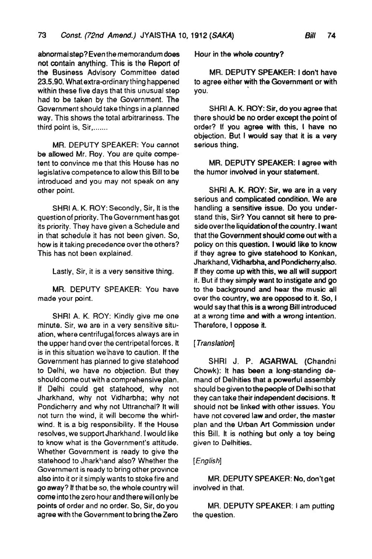abnormal step? Even the memorandum does not contain anything. This is the Report of the Business Advisory Committee dated 23.5.90. What extra-ordinary thing happened within these five days that this unusual step had to be taken by the Government. The Government should take things in a planned way. This shows the total arbitrariness. The third point is, Sir, .......

MR. DEPUTY SPEAKER: You cannot be allowed Mr. Roy. You are quite competent to convince me that this House has no legislative competence to allow this Bill to be introduced and you may not speak on any other point.

SHRI A. K. ROY: Secondly, Sir, It is the question of priority. The Government has got its priority. They have given a Schedule and in that schedule it has not been given. So, how is it taking precedence over the others? This has not been explained.

Lastly, Sir, it is a very sensitive thing.

MR. DEPUTY SPEAKER: You have made your point.

SHRI A. K. ROY: Kindly give me one minute. Sir, we are in a very sensitive situation, where centrifugal forces always are in the upper hand over the centripetal forces. It is in this situation welhave to caution. If the Government has planned to give statehood to Delhi, we have no objection. But they should come out with a comprehensive plan. If Delhi could get statehood, why not Jharkhand, why not Vidharbha; why not Pondicherry and why not Uttranohal? It will not turn the wind, it will become the whirlwind. It is a big responsibility. If the House resolves, we support Jharkhand. I would like to know what is the Government's attitude. Whether Government is ready to give the statehood to Jharkhand also? Whether the Government is ready to bring other province also into it or it simply wants to stoke fire and go away? If that be so, the whole country will come into the zero hour and there will only be points of order and no order. So, Sir, do you agree with the Government to bring the Zero

Hour in the whole country?

MR. DEPUTY SPEAKER: I don't have to agree either with the Government or with you.

SHRI A. K. ROY: Sir, do you agree that there should be no order except the point of order? If you agree with this. I have no objection. But I would say that it is a very serious thing.

MR. DEPUTY SPEAKER: I agree with the humor involved in your statement.

SHRI A. K. ROY: Sir. we are in a very serious and complicated condition. We are handling a sensitive issue. Do you understand this, Sir? You cannot sit here to preside over the liquidation of the country. 1 want that the Government should come out with a policy on this question. I would like to know if they agree to give statehood to Konkan, Jharkhand, Vidharbha, and Pondicherry,also. If they come up with this, we all will support it. But if they simply want to instigate and go to the background and hear the music all over the country, we are opposed to it. So, I would say that this is a wrong Bill introduced at a wrong time and with a wrong intention. Therefore. I oppose it.

### [ *Trans/ation]*

SHRI J. P. AGARWAL (Chandni Chowk): It has been a long-standing demand of Delhities that a powerful assembly should be given to the people of Delhi so that they can take their independent decisions. It should not be linked with other issues. You have not covered law and order, the master plan and the Urban Art Commission under this Bill. It is nothing but only a toy being given to Delhities.

### *[English]*

MR. DEPUTY SPEAKER: No. don't get involved in that.

MR. DEPUTY SPEAKER: I am putting the question.